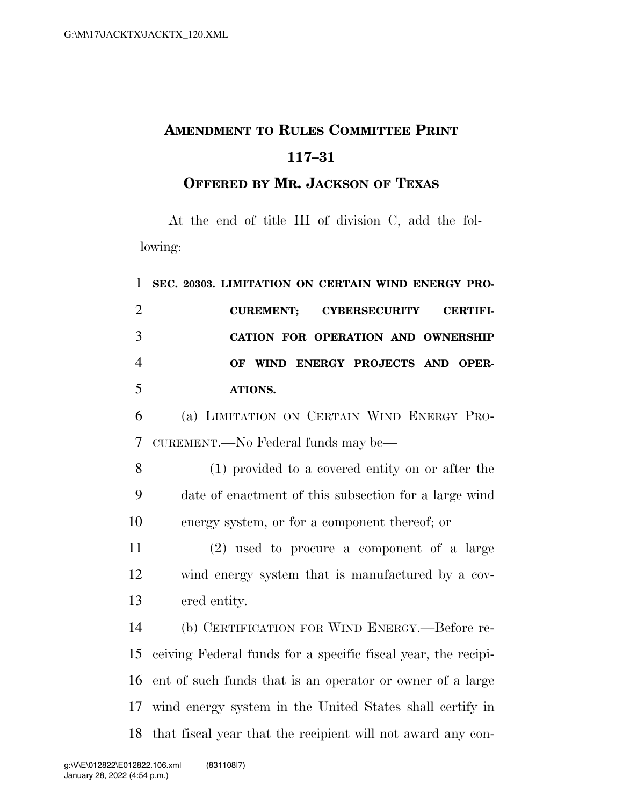## **AMENDMENT TO RULES COMMITTEE PRINT 117–31**

## **OFFERED BY MR. JACKSON OF TEXAS**

At the end of title III of division C, add the following:

| $\mathbf{1}$   | SEC. 20303. LIMITATION ON CERTAIN WIND ENERGY PRO-             |
|----------------|----------------------------------------------------------------|
| $\overline{2}$ | <b>CUREMENT:</b><br><b>CYBERSECURITY</b><br><b>CERTIFI-</b>    |
| 3              | CATION FOR OPERATION AND OWNERSHIP                             |
| $\overline{4}$ | WIND ENERGY PROJECTS AND OPER-<br><b>OF</b>                    |
| 5              | ATIONS.                                                        |
| 6              | (a) LIMITATION ON CERTAIN WIND ENERGY PRO-                     |
| $\overline{7}$ | CUREMENT.—No Federal funds may be—                             |
| 8              | (1) provided to a covered entity on or after the               |
| 9              | date of enactment of this subsection for a large wind          |
| 10             | energy system, or for a component thereof; or                  |
| 11             | $(2)$ used to procure a component of a large                   |
| 12             | wind energy system that is manufactured by a cov-              |
| 13             | ered entity.                                                   |
| 14             | (b) CERTIFICATION FOR WIND ENERGY.—Before re-                  |
| 15             | ceiving Federal funds for a specific fiscal year, the recipi-  |
| 16             | ent of such funds that is an operator or owner of a large      |
| 17             | wind energy system in the United States shall certify in       |
|                | 18 that fiscal year that the recipient will not award any con- |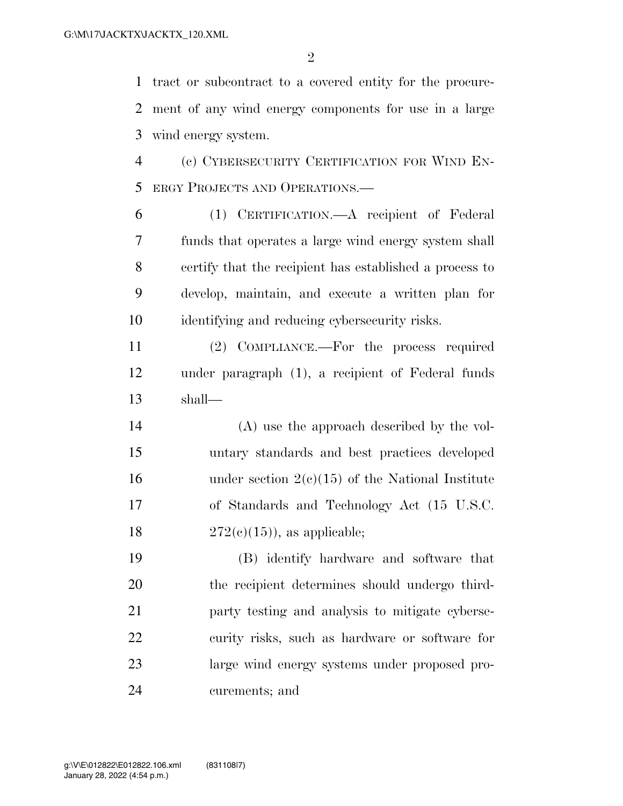tract or subcontract to a covered entity for the procure- ment of any wind energy components for use in a large wind energy system.

 (c) CYBERSECURITY CERTIFICATION FOR WIND EN-ERGY PROJECTS AND OPERATIONS.—

 (1) CERTIFICATION.—A recipient of Federal funds that operates a large wind energy system shall certify that the recipient has established a process to develop, maintain, and execute a written plan for identifying and reducing cybersecurity risks.

 (2) COMPLIANCE.—For the process required under paragraph (1), a recipient of Federal funds shall—

 (A) use the approach described by the vol- untary standards and best practices developed 16 under section  $2(e)(15)$  of the National Institute of Standards and Technology Act (15 U.S.C.  $272(c)(15)$ , as applicable;

 (B) identify hardware and software that the recipient determines should undergo third- party testing and analysis to mitigate cyberse- curity risks, such as hardware or software for large wind energy systems under proposed pro-curements; and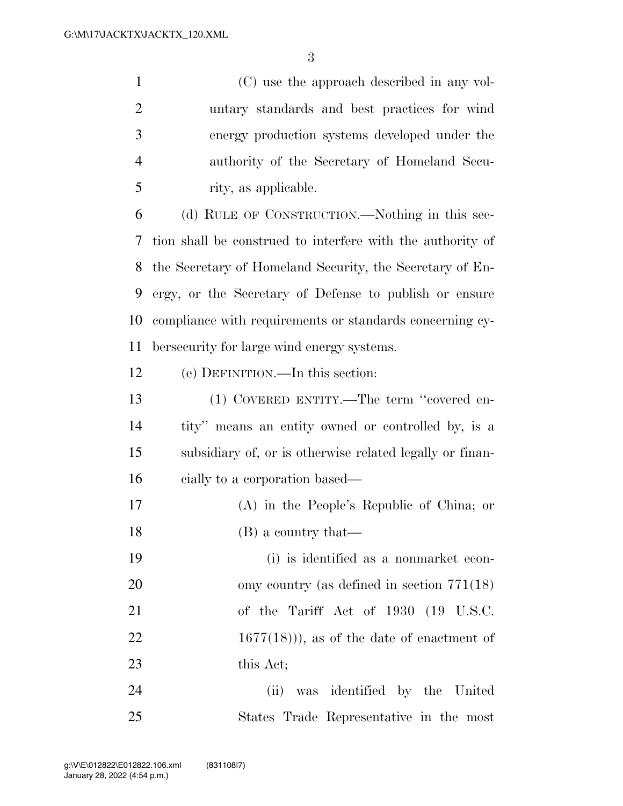(C) use the approach described in any vol- untary standards and best practices for wind energy production systems developed under the authority of the Secretary of Homeland Secu-rity, as applicable.

 (d) RULE OF CONSTRUCTION.—Nothing in this sec- tion shall be construed to interfere with the authority of the Secretary of Homeland Security, the Secretary of En- ergy, or the Secretary of Defense to publish or ensure compliance with requirements or standards concerning cy-bersecurity for large wind energy systems.

(e) DEFINITION.—In this section:

 (1) COVERED ENTITY.—The term ''covered en- tity'' means an entity owned or controlled by, is a subsidiary of, or is otherwise related legally or finan-cially to a corporation based—

 (A) in the People's Republic of China; or 18 (B) a country that—

 (i) is identified as a nonmarket econ- omy country (as defined in section 771(18) of the Tariff Act of 1930 (19 U.S.C.  $22 \t1677(18)$ , as of the date of enactment of this Act;

 (ii) was identified by the United States Trade Representative in the most